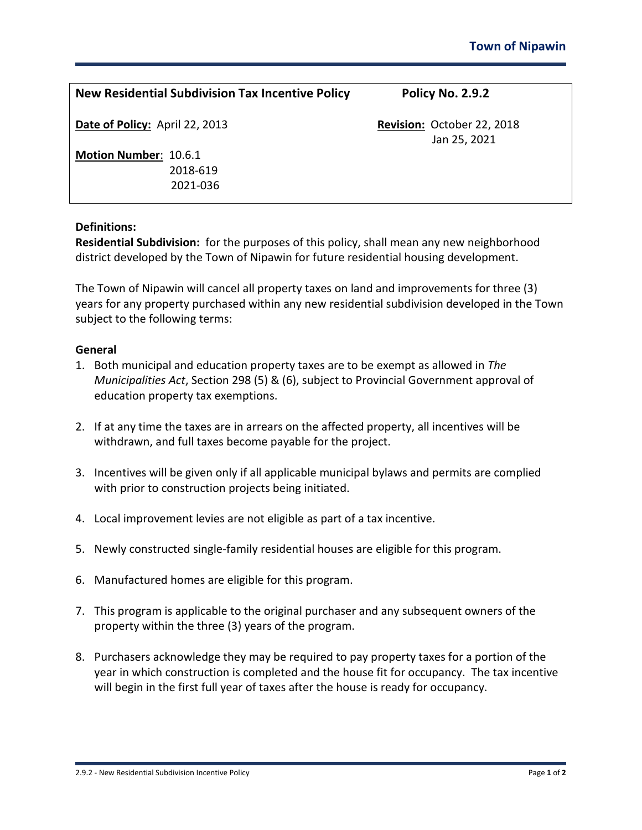| <b>New Residential Subdivision Tax Incentive Policy</b> | Policy No. 2.9.2                           |  |
|---------------------------------------------------------|--------------------------------------------|--|
| Date of Policy: April 22, 2013                          | Revision: October 22, 2018<br>Jan 25, 2021 |  |
| Motion Number: 10.6.1                                   |                                            |  |
| 2018-619                                                |                                            |  |
| 2021-036                                                |                                            |  |

## **Definitions:**

**Residential Subdivision:** for the purposes of this policy, shall mean any new neighborhood district developed by the Town of Nipawin for future residential housing development.

The Town of Nipawin will cancel all property taxes on land and improvements for three (3) years for any property purchased within any new residential subdivision developed in the Town subject to the following terms:

## **General**

- 1. Both municipal and education property taxes are to be exempt as allowed in *The Municipalities Act*, Section 298 (5) & (6), subject to Provincial Government approval of education property tax exemptions.
- 2. If at any time the taxes are in arrears on the affected property, all incentives will be withdrawn, and full taxes become payable for the project.
- 3. Incentives will be given only if all applicable municipal bylaws and permits are complied with prior to construction projects being initiated.
- 4. Local improvement levies are not eligible as part of a tax incentive.
- 5. Newly constructed single-family residential houses are eligible for this program.
- 6. Manufactured homes are eligible for this program.
- 7. This program is applicable to the original purchaser and any subsequent owners of the property within the three (3) years of the program.
- 8. Purchasers acknowledge they may be required to pay property taxes for a portion of the year in which construction is completed and the house fit for occupancy. The tax incentive will begin in the first full year of taxes after the house is ready for occupancy.